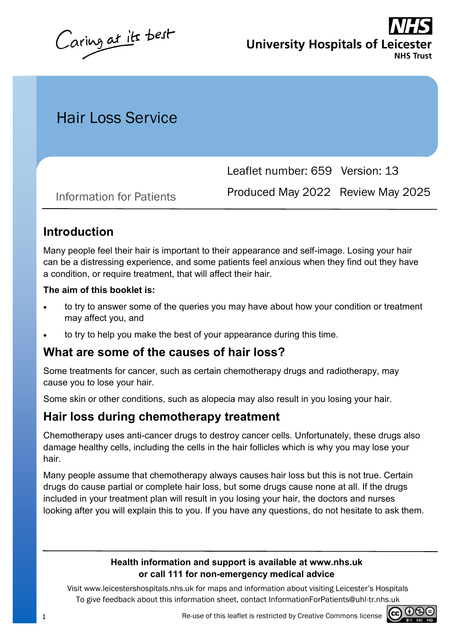Caring at its best

**University Hospitals of Leices NHS Trust** 

# Hair Loss Service

Leaflet number: 659 Version: 13

Produced May 2022 Review May 2025 Information for Patients

### **Introduction**

Many people feel their hair is important to their appearance and self-image. Losing your hair can be a distressing experience, and some patients feel anxious when they find out they have a condition, or require treatment, that will affect their hair.

#### **The aim of this booklet is:**

- to try to answer some of the queries you may have about how your condition or treatment may affect you, and
- to try to help you make the best of your appearance during this time.

### **What are some of the causes of hair loss?**

Some treatments for cancer, such as certain chemotherapy drugs and radiotherapy, may cause you to lose your hair.

Some skin or other conditions, such as alopecia may also result in you losing your hair.

### **Hair loss during chemotherapy treatment**

Chemotherapy uses anti-cancer drugs to destroy cancer cells. Unfortunately, these drugs also damage healthy cells, including the cells in the hair follicles which is why you may lose your hair.

Many people assume that chemotherapy always causes hair loss but this is not true. Certain drugs do cause partial or complete hair loss, but some drugs cause none at all. If the drugs included in your treatment plan will result in you losing your hair, the doctors and nurses looking after you will explain this to you. If you have any questions, do not hesitate to ask them.

#### **Health information and support is available at www.nhs.uk or call 111 for non-emergency medical advice**

Visit www.leicestershospitals.nhs.uk for maps and information about visiting Leicester's Hospitals To give feedback about this information sheet, contact InformationForPatients@uhl-tr.nhs.uk

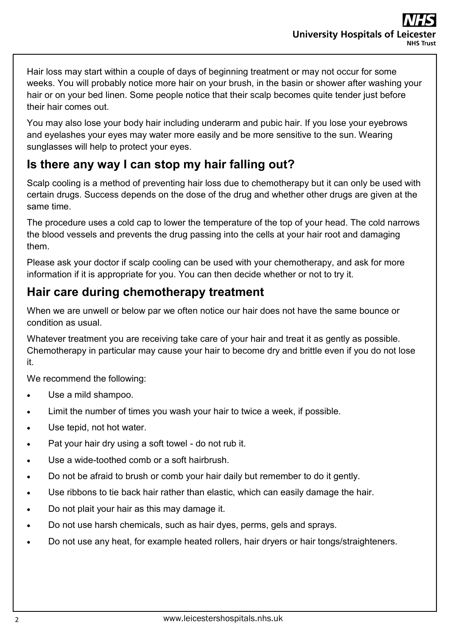Hair loss may start within a couple of days of beginning treatment or may not occur for some weeks. You will probably notice more hair on your brush, in the basin or shower after washing your hair or on your bed linen. Some people notice that their scalp becomes quite tender just before their hair comes out.

You may also lose your body hair including underarm and pubic hair. If you lose your eyebrows and eyelashes your eyes may water more easily and be more sensitive to the sun. Wearing sunglasses will help to protect your eyes.

### **Is there any way I can stop my hair falling out?**

Scalp cooling is a method of preventing hair loss due to chemotherapy but it can only be used with certain drugs. Success depends on the dose of the drug and whether other drugs are given at the same time.

The procedure uses a cold cap to lower the temperature of the top of your head. The cold narrows the blood vessels and prevents the drug passing into the cells at your hair root and damaging them.

Please ask your doctor if scalp cooling can be used with your chemotherapy, and ask for more information if it is appropriate for you. You can then decide whether or not to try it.

### **Hair care during chemotherapy treatment**

When we are unwell or below par we often notice our hair does not have the same bounce or condition as usual.

Whatever treatment you are receiving take care of your hair and treat it as gently as possible. Chemotherapy in particular may cause your hair to become dry and brittle even if you do not lose it.

We recommend the following:

- Use a mild shampoo.
- Limit the number of times you wash your hair to twice a week, if possible.
- Use tepid, not hot water.
- Pat your hair dry using a soft towel do not rub it.
- Use a wide-toothed comb or a soft hairbrush.
- Do not be afraid to brush or comb your hair daily but remember to do it gently.
- Use ribbons to tie back hair rather than elastic, which can easily damage the hair.
- Do not plait your hair as this may damage it.
- Do not use harsh chemicals, such as hair dyes, perms, gels and sprays.
- Do not use any heat, for example heated rollers, hair dryers or hair tongs/straighteners.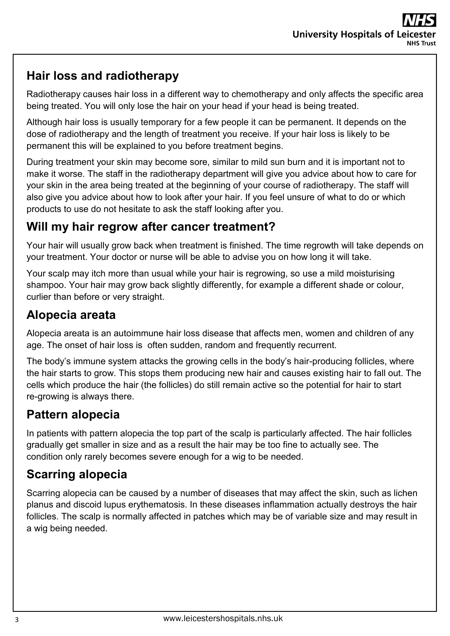## **Hair loss and radiotherapy**

Radiotherapy causes hair loss in a different way to chemotherapy and only affects the specific area being treated. You will only lose the hair on your head if your head is being treated.

Although hair loss is usually temporary for a few people it can be permanent. It depends on the dose of radiotherapy and the length of treatment you receive. If your hair loss is likely to be permanent this will be explained to you before treatment begins.

During treatment your skin may become sore, similar to mild sun burn and it is important not to make it worse. The staff in the radiotherapy department will give you advice about how to care for your skin in the area being treated at the beginning of your course of radiotherapy. The staff will also give you advice about how to look after your hair. If you feel unsure of what to do or which products to use do not hesitate to ask the staff looking after you.

### **Will my hair regrow after cancer treatment?**

Your hair will usually grow back when treatment is finished. The time regrowth will take depends on your treatment. Your doctor or nurse will be able to advise you on how long it will take.

Your scalp may itch more than usual while your hair is regrowing, so use a mild moisturising shampoo. Your hair may grow back slightly differently, for example a different shade or colour, curlier than before or very straight.

## **Alopecia areata**

Alopecia areata is an autoimmune hair loss disease that affects men, women and children of any age. The onset of hair loss is often sudden, random and frequently recurrent.

The body's immune system attacks the growing cells in the body's hair-producing follicles, where the hair starts to grow. This stops them producing new hair and causes existing hair to fall out. The cells which produce the hair (the follicles) do still remain active so the potential for hair to start re-growing is always there.

# **Pattern alopecia**

In patients with pattern alopecia the top part of the scalp is particularly affected. The hair follicles gradually get smaller in size and as a result the hair may be too fine to actually see. The condition only rarely becomes severe enough for a wig to be needed.

# **Scarring alopecia**

Scarring alopecia can be caused by a number of diseases that may affect the skin, such as lichen planus and discoid lupus erythematosis. In these diseases inflammation actually destroys the hair follicles. The scalp is normally affected in patches which may be of variable size and may result in a wig being needed.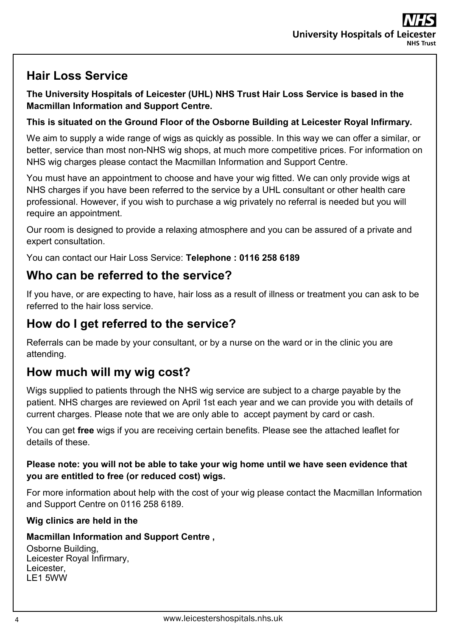# **Hair Loss Service**

**The University Hospitals of Leicester (UHL) NHS Trust Hair Loss Service is based in the Macmillan Information and Support Centre.** 

#### **This is situated on the Ground Floor of the Osborne Building at Leicester Royal Infirmary.**

We aim to supply a wide range of wigs as quickly as possible. In this way we can offer a similar, or better, service than most non-NHS wig shops, at much more competitive prices. For information on NHS wig charges please contact the Macmillan Information and Support Centre.

You must have an appointment to choose and have your wig fitted. We can only provide wigs at NHS charges if you have been referred to the service by a UHL consultant or other health care professional. However, if you wish to purchase a wig privately no referral is needed but you will require an appointment.

Our room is designed to provide a relaxing atmosphere and you can be assured of a private and expert consultation.

You can contact our Hair Loss Service: **Telephone : 0116 258 6189** 

### **Who can be referred to the service?**

If you have, or are expecting to have, hair loss as a result of illness or treatment you can ask to be referred to the hair loss service.

## **How do I get referred to the service?**

Referrals can be made by your consultant, or by a nurse on the ward or in the clinic you are attending.

## **How much will my wig cost?**

Wigs supplied to patients through the NHS wig service are subject to a charge payable by the patient. NHS charges are reviewed on April 1st each year and we can provide you with details of current charges. Please note that we are only able to accept payment by card or cash.

You can get **free** wigs if you are receiving certain benefits. Please see the attached leaflet for details of these.

#### **Please note: you will not be able to take your wig home until we have seen evidence that you are entitled to free (or reduced cost) wigs.**

For more information about help with the cost of your wig please contact the Macmillan Information and Support Centre on 0116 258 6189.

### **Wig clinics are held in the**

### **Macmillan Information and Support Centre ,**

Osborne Building, Leicester Royal Infirmary, Leicester, LE1 5WW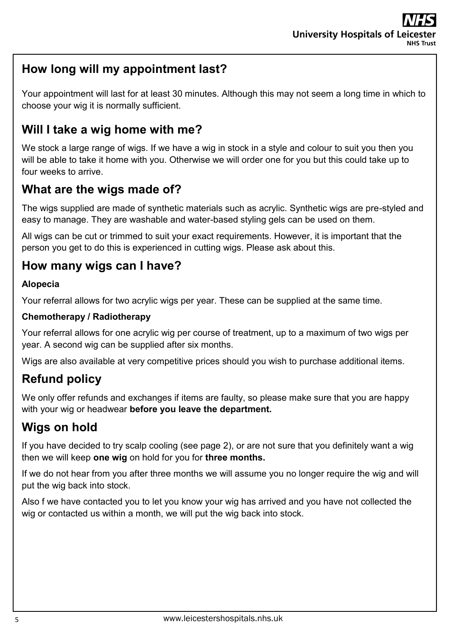## **How long will my appointment last?**

Your appointment will last for at least 30 minutes. Although this may not seem a long time in which to choose your wig it is normally sufficient.

### **Will I take a wig home with me?**

We stock a large range of wigs. If we have a wig in stock in a style and colour to suit you then you will be able to take it home with you. Otherwise we will order one for you but this could take up to four weeks to arrive.

### **What are the wigs made of?**

The wigs supplied are made of synthetic materials such as acrylic. Synthetic wigs are pre-styled and easy to manage. They are washable and water-based styling gels can be used on them.

All wigs can be cut or trimmed to suit your exact requirements. However, it is important that the person you get to do this is experienced in cutting wigs. Please ask about this.

### **How many wigs can I have?**

#### **Alopecia**

Your referral allows for two acrylic wigs per year. These can be supplied at the same time.

#### **Chemotherapy / Radiotherapy**

Your referral allows for one acrylic wig per course of treatment, up to a maximum of two wigs per year. A second wig can be supplied after six months.

Wigs are also available at very competitive prices should you wish to purchase additional items.

## **Refund policy**

We only offer refunds and exchanges if items are faulty, so please make sure that you are happy with your wig or headwear **before you leave the department.** 

### **Wigs on hold**

If you have decided to try scalp cooling (see page 2), or are not sure that you definitely want a wig then we will keep **one wig** on hold for you for **three months.**

If we do not hear from you after three months we will assume you no longer require the wig and will put the wig back into stock.

Also f we have contacted you to let you know your wig has arrived and you have not collected the wig or contacted us within a month, we will put the wig back into stock.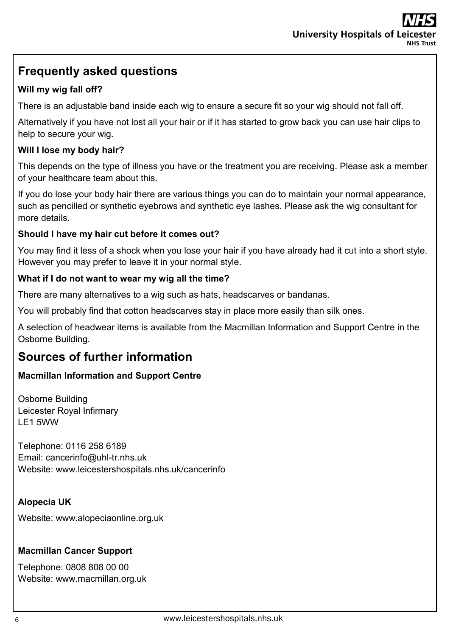## **Frequently asked questions**

### **Will my wig fall off?**

There is an adjustable band inside each wig to ensure a secure fit so your wig should not fall off.

Alternatively if you have not lost all your hair or if it has started to grow back you can use hair clips to help to secure your wig.

#### **Will I lose my body hair?**

This depends on the type of illness you have or the treatment you are receiving. Please ask a member of your healthcare team about this.

If you do lose your body hair there are various things you can do to maintain your normal appearance, such as pencilled or synthetic eyebrows and synthetic eye lashes. Please ask the wig consultant for more details.

#### **Should I have my hair cut before it comes out?**

You may find it less of a shock when you lose your hair if you have already had it cut into a short style. However you may prefer to leave it in your normal style.

#### **What if I do not want to wear my wig all the time?**

There are many alternatives to a wig such as hats, headscarves or bandanas.

You will probably find that cotton headscarves stay in place more easily than silk ones.

A selection of headwear items is available from the Macmillan Information and Support Centre in the Osborne Building.

### **Sources of further information**

#### **Macmillan Information and Support Centre**

Osborne Building Leicester Royal Infirmary LE1 5WW

Telephone: 0116 258 6189 Email: cancerinfo@uhl-tr.nhs.uk Website: www.leicestershospitals.nhs.uk/cancerinfo

#### **Alopecia UK**

Website: www.alopeciaonline.org.uk

#### **Macmillan Cancer Support**

Telephone: 0808 808 00 00 Website: www.macmillan.org.uk